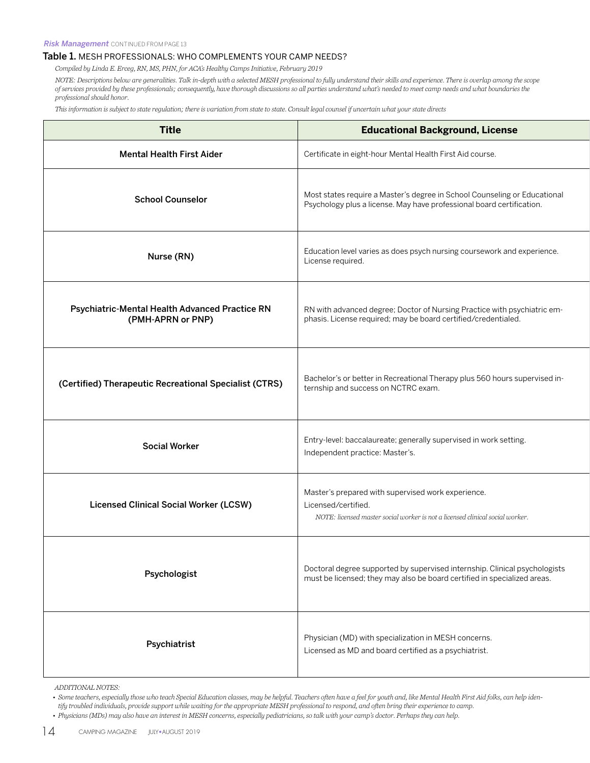## Table 1. MESH PROFESSIONALS: WHO COMPLEMENTS YOUR CAMP NEEDS?

*Compiled by Linda E. Erceg, RN, MS, PHN, for ACA's Healthy Camps Initiative, February 2019*

*NOTE: Descriptions below are generalities. Talk in-depth with a selected MESH professional to fully understand their skills and experience. There is overlap among the scope of services provided by these professionals; consequently, have thorough discussions so all parties understand what's needed to meet camp needs and what boundaries the professional should honor.*

*This information is subject to state regulation; there is variation from state to state. Consult legal counsel if uncertain what your state directs*

| <b>Title</b>                                                        | <b>Educational Background, License</b>                                                                                                                     |
|---------------------------------------------------------------------|------------------------------------------------------------------------------------------------------------------------------------------------------------|
| <b>Mental Health First Aider</b>                                    | Certificate in eight-hour Mental Health First Aid course.                                                                                                  |
| <b>School Counselor</b>                                             | Most states require a Master's degree in School Counseling or Educational<br>Psychology plus a license. May have professional board certification.         |
| Nurse (RN)                                                          | Education level varies as does psych nursing coursework and experience.<br>License required.                                                               |
| Psychiatric-Mental Health Advanced Practice RN<br>(PMH-APRN or PNP) | RN with advanced degree; Doctor of Nursing Practice with psychiatric em-<br>phasis. License required; may be board certified/credentialed.                 |
| (Certified) Therapeutic Recreational Specialist (CTRS)              | Bachelor's or better in Recreational Therapy plus 560 hours supervised in-<br>ternship and success on NCTRC exam.                                          |
| <b>Social Worker</b>                                                | Entry-level: baccalaureate; generally supervised in work setting.<br>Independent practice: Master's.                                                       |
| <b>Licensed Clinical Social Worker (LCSW)</b>                       | Master's prepared with supervised work experience.<br>Licensed/certified.<br>NOTE: licensed master social worker is not a licensed clinical social worker. |
| Psychologist                                                        | Doctoral degree supported by supervised internship. Clinical psychologists<br>must be licensed; they may also be board certified in specialized areas.     |
| Psychiatrist                                                        | Physician (MD) with specialization in MESH concerns.<br>Licensed as MD and board certified as a psychiatrist.                                              |

*ADDITIONAL NOTES:*

*• Some teachers, especially those who teach Special Education classes, may be helpful. Teachers often have a feel for youth and, like Mental Health First Aid folks, can help identify troubled individuals, provide support while waiting for the appropriate MESH professional to respond, and often bring their experience to camp. • Physicians (MDs) may also have an interest in MESH concerns, especially pediatricians, so talk with your camp's doctor. Perhaps they can help.*